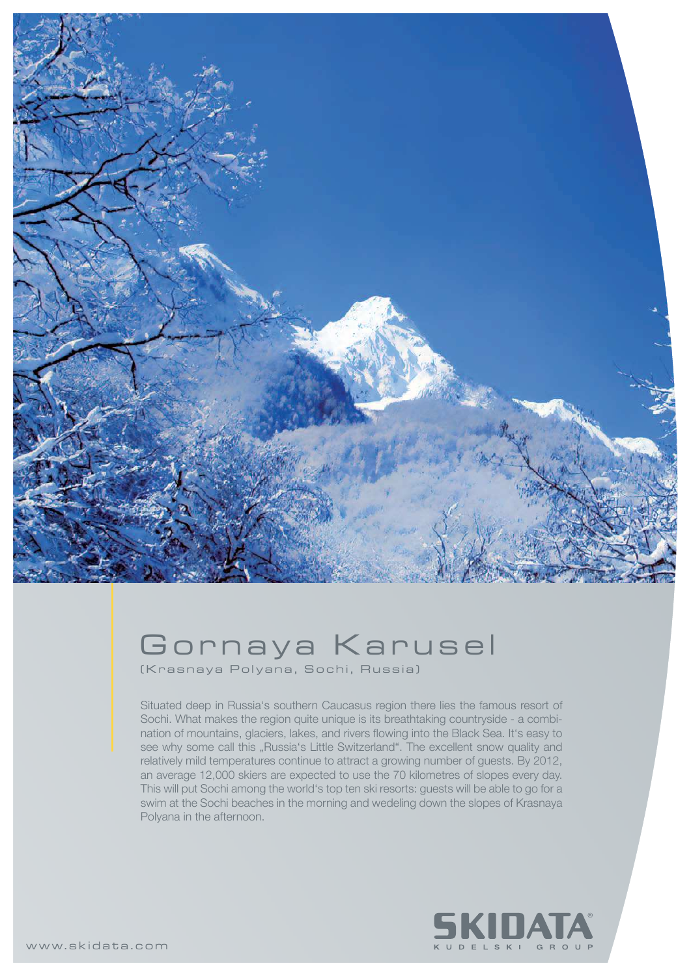

## Gornaya Karusel

( K r a s n a y a Polyana, Sochi, Russia)

Situated deep in Russia's southern Caucasus region there lies the famous resort of Sochi. What makes the region quite unique is its breathtaking countryside - a combination of mountains, glaciers, lakes, and rivers flowing into the Black Sea. It's easy to see why some call this "Russia's Little Switzerland". The excellent snow quality and relatively mild temperatures continue to attract a growing number of guests. By 2012, an average 12,000 skiers are expected to use the 70 kilometres of slopes every day. This will put Sochi among the world's top ten ski resorts: guests will be able to go for a swim at the Sochi beaches in the morning and wedeling down the slopes of Krasnaya Polyana in the afternoon.